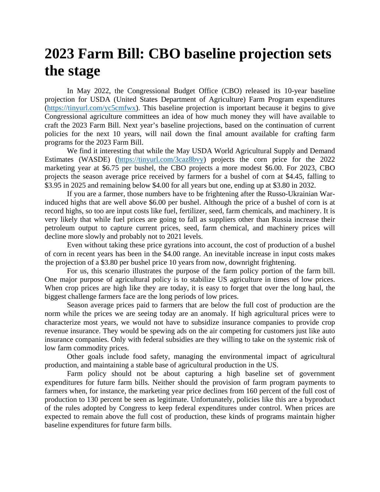## **2023 Farm Bill: CBO baseline projection sets the stage**

In May 2022, the Congressional Budget Office (CBO) released its 10-year baseline projection for USDA (United States Department of Agriculture) Farm Program expenditures [\(https://tinyurl.com/yc5cmfwx\)](https://tinyurl.com/yc5cmfwx). This baseline projection is important because it begins to give Congressional agriculture committees an idea of how much money they will have available to craft the 2023 Farm Bill. Next year's baseline projections, based on the continuation of current policies for the next 10 years, will nail down the final amount available for crafting farm programs for the 2023 Farm Bill.

We find it interesting that while the May USDA World Agricultural Supply and Demand Estimates (WASDE) [\(https://tinyurl.com/3caz8bvy\)](https://tinyurl.com/3caz8bvy) projects the corn price for the 2022 marketing year at \$6.75 per bushel, the CBO projects a more modest \$6.00. For 2023, CBO projects the season average price received by farmers for a bushel of corn at \$4.45, falling to \$3.95 in 2025 and remaining below \$4.00 for all years but one, ending up at \$3.80 in 2032.

If you are a farmer, those numbers have to be frightening after the Russo-Ukrainian Warinduced highs that are well above \$6.00 per bushel. Although the price of a bushel of corn is at record highs, so too are input costs like fuel, fertilizer, seed, farm chemicals, and machinery. It is very likely that while fuel prices are going to fall as suppliers other than Russia increase their petroleum output to capture current prices, seed, farm chemical, and machinery prices will decline more slowly and probably not to 2021 levels.

Even without taking these price gyrations into account, the cost of production of a bushel of corn in recent years has been in the \$4.00 range. An inevitable increase in input costs makes the projection of a \$3.80 per bushel price 10 years from now, downright frightening.

For us, this scenario illustrates the purpose of the farm policy portion of the farm bill. One major purpose of agricultural policy is to stabilize US agriculture in times of low prices. When crop prices are high like they are today, it is easy to forget that over the long haul, the biggest challenge farmers face are the long periods of low prices.

Season average prices paid to farmers that are below the full cost of production are the norm while the prices we are seeing today are an anomaly. If high agricultural prices were to characterize most years, we would not have to subsidize insurance companies to provide crop revenue insurance. They would be spewing ads on the air competing for customers just like auto insurance companies. Only with federal subsidies are they willing to take on the systemic risk of low farm commodity prices.

Other goals include food safety, managing the environmental impact of agricultural production, and maintaining a stable base of agricultural production in the US.

Farm policy should not be about capturing a high baseline set of government expenditures for future farm bills. Neither should the provision of farm program payments to farmers when, for instance, the marketing year price declines from 160 percent of the full cost of production to 130 percent be seen as legitimate. Unfortunately, policies like this are a byproduct of the rules adopted by Congress to keep federal expenditures under control. When prices are expected to remain above the full cost of production, these kinds of programs maintain higher baseline expenditures for future farm bills.